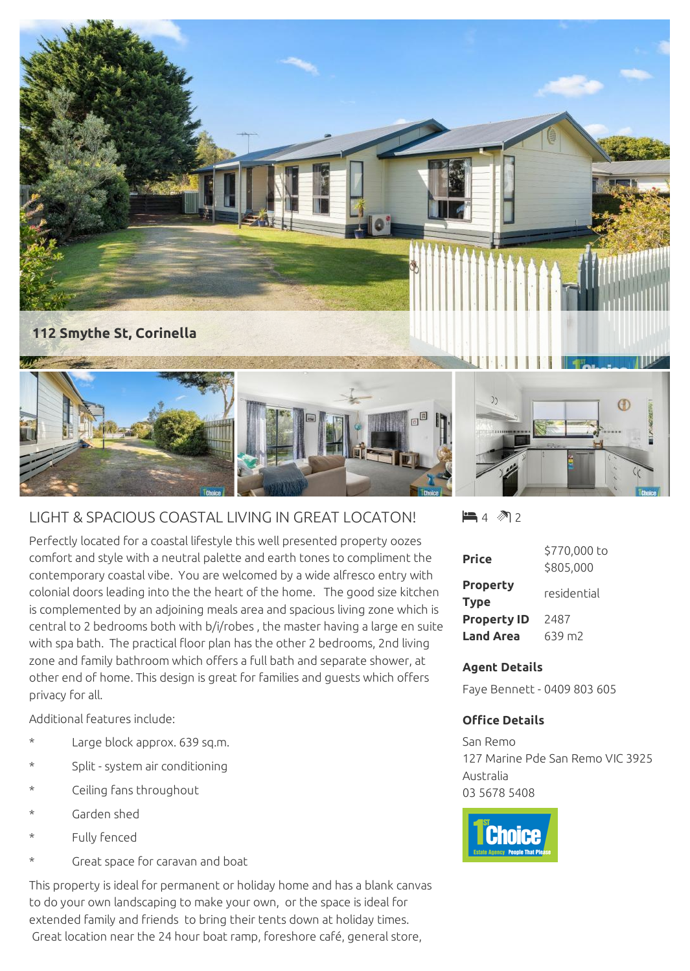

## LIGHT & SPACIOUS COASTAL LIVING IN GREAT LOCATON!

Perfectly located for a coastal lifestyle this well presented property oozes comfort and style with a neutral palette and earth tones to compliment the contemporary coastal vibe. You are welcomed by a wide alfresco entry with colonial doors leading into the the heart of the home. The good size kitchen is complemented by an adjoining meals area and spacious living zone which is central to 2 bedrooms both with b/i/robes , the master having a large en suite with spa bath. The practical floor plan has the other 2 bedrooms, 2nd living zone and family bathroom which offers a full bath and separate shower, at other end of home. This design is great for families and guests which offers privacy for all.

Additional features include:

- Large block approx. 639 sq.m.
- Split system air conditioning
- Ceiling fans throughout
- Garden shed
- Fully fenced
- Great space for caravan and boat

This property is ideal for permanent or holiday home and has a blank canvas to do your own landscaping to make your own, or the space is ideal for extended family and friends to bring their tents down at holiday times. Great location near the 24 hour boat ramp, foreshore café, general store,

 $\blacksquare$  4  $\spadesuit$  2

| Price                          | \$770,000 to |
|--------------------------------|--------------|
|                                | \$805,000    |
| <b>Property</b><br><b>Type</b> | residential  |
| <b>Property ID</b>             | 2487         |
| <b>Land Area</b>               | 639 m2       |

## **Agent Details**

Faye Bennett - 0409 803 605

## **Office Details**

San Remo 127 Marine Pde San Remo VIC 3925 Australia 03 5678 5408